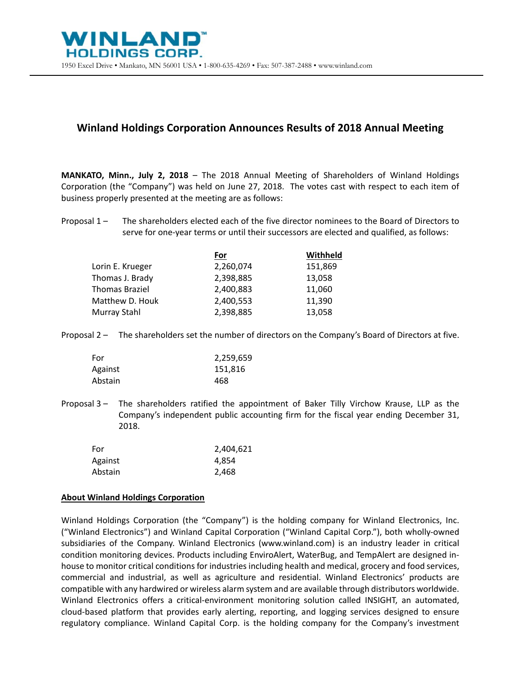## **Winland Holdings Corporation Announces Results of 2018 Annual Meeting**

**MANKATO, Minn., July 2, 2018** – The 2018 Annual Meeting of Shareholders of Winland Holdings Corporation (the "Company") was held on June 27, 2018. The votes cast with respect to each item of business properly presented at the meeting are as follows:

Proposal 1 – The shareholders elected each of the five director nominees to the Board of Directors to serve for one-year terms or until their successors are elected and qualified, as follows:

|                       | For       | Withheld |
|-----------------------|-----------|----------|
| Lorin E. Krueger      | 2,260,074 | 151,869  |
| Thomas J. Brady       | 2,398,885 | 13,058   |
| <b>Thomas Braziel</b> | 2,400,883 | 11,060   |
| Matthew D. Houk       | 2,400,553 | 11,390   |
| Murray Stahl          | 2,398,885 | 13,058   |
|                       |           |          |

Proposal 2 – The shareholders set the number of directors on the Company's Board of Directors at five.

| For     | 2,259,659 |
|---------|-----------|
| Against | 151,816   |
| Abstain | 468       |

Proposal 3 – The shareholders ratified the appointment of Baker Tilly Virchow Krause, LLP as the Company's independent public accounting firm for the fiscal year ending December 31, 2018.

| For     | 2,404,621 |
|---------|-----------|
| Against | 4,854     |
| Abstain | 2,468     |

## **About Winland Holdings Corporation**

Winland Holdings Corporation (the "Company") is the holding company for Winland Electronics, Inc. ("Winland Electronics") and Winland Capital Corporation ("Winland Capital Corp."), both wholly-owned subsidiaries of the Company. Winland Electronics (www.winland.com) is an industry leader in critical condition monitoring devices. Products including EnviroAlert, WaterBug, and TempAlert are designed inhouse to monitor critical conditions for industries including health and medical, grocery and food services, commercial and industrial, as well as agriculture and residential. Winland Electronics' products are compatible with any hardwired or wireless alarm system and are available through distributors worldwide. Winland Electronics offers a critical-environment monitoring solution called INSIGHT, an automated, cloud-based platform that provides early alerting, reporting, and logging services designed to ensure regulatory compliance. Winland Capital Corp. is the holding company for the Company's investment